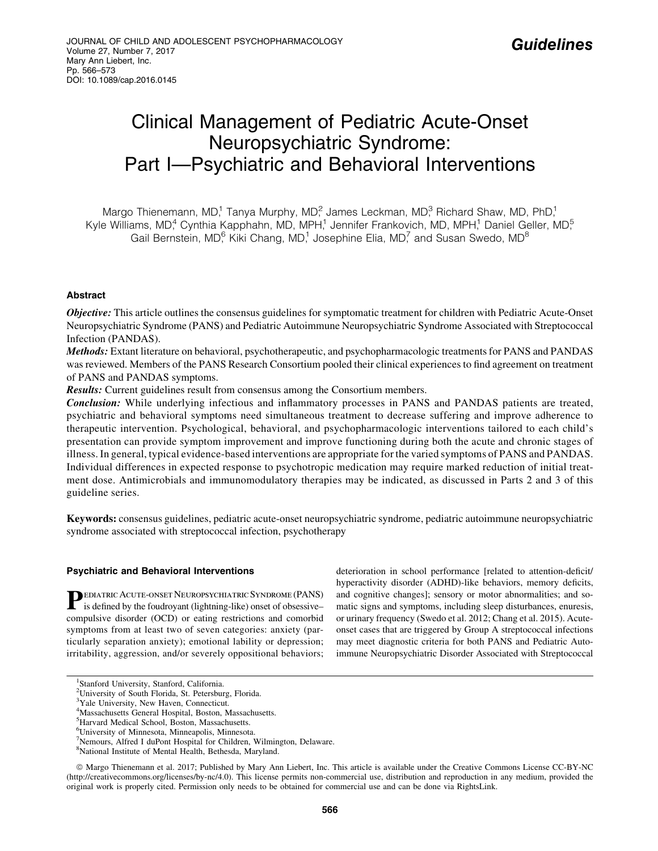# Clinical Management of Pediatric Acute-Onset Neuropsychiatric Syndrome: Part I—Psychiatric and Behavioral Interventions

Margo Thienemann, MD,<sup>1</sup> Tanya Murphy, MD<sup>2</sup>, James Leckman, MD<sup>3</sup> Richard Shaw, MD, PhD,<sup>1</sup> Kyle Williams, MD,<sup>4</sup> Cynthia Kapphahn, MD, MPH,<sup>1</sup> Jennifer Frankovich, MD, MPH,<sup>1</sup> Daniel Geller, MD,<sup>5</sup> Gail Bernstein, MD,<sup>6</sup> Kiki Chang, MD,<sup>1</sup> Josephine Elia, MD,<sup>7</sup> and Susan Swedo, MD<sup>8</sup>

# Abstract

Objective: This article outlines the consensus guidelines for symptomatic treatment for children with Pediatric Acute-Onset Neuropsychiatric Syndrome (PANS) and Pediatric Autoimmune Neuropsychiatric Syndrome Associated with Streptococcal Infection (PANDAS).

Methods: Extant literature on behavioral, psychotherapeutic, and psychopharmacologic treatments for PANS and PANDAS was reviewed. Members of the PANS Research Consortium pooled their clinical experiences to find agreement on treatment of PANS and PANDAS symptoms.

Results: Current guidelines result from consensus among the Consortium members.

Conclusion: While underlying infectious and inflammatory processes in PANS and PANDAS patients are treated, psychiatric and behavioral symptoms need simultaneous treatment to decrease suffering and improve adherence to therapeutic intervention. Psychological, behavioral, and psychopharmacologic interventions tailored to each child's presentation can provide symptom improvement and improve functioning during both the acute and chronic stages of illness. In general, typical evidence-based interventions are appropriate for the varied symptoms of PANS and PANDAS. Individual differences in expected response to psychotropic medication may require marked reduction of initial treatment dose. Antimicrobials and immunomodulatory therapies may be indicated, as discussed in Parts 2 and 3 of this guideline series.

Keywords: consensus guidelines, pediatric acute-onset neuropsychiatric syndrome, pediatric autoimmune neuropsychiatric syndrome associated with streptococcal infection, psychotherapy

# Psychiatric and Behavioral Interventions

PEDIATRIC ACUTE-ONSET NEUROPSYCHIATRIC SYNDROME (PANS) is defined by the foudroyant (lightning-like) onset of obsessive– compulsive disorder (OCD) or eating restrictions and comorbid symptoms from at least two of seven categories: anxiety (particularly separation anxiety); emotional lability or depression; irritability, aggression, and/or severely oppositional behaviors; deterioration in school performance [related to attention-deficit/ hyperactivity disorder (ADHD)-like behaviors, memory deficits, and cognitive changes]; sensory or motor abnormalities; and somatic signs and symptoms, including sleep disturbances, enuresis, or urinary frequency (Swedo et al. 2012; Chang et al. 2015). Acuteonset cases that are triggered by Group A streptococcal infections may meet diagnostic criteria for both PANS and Pediatric Autoimmune Neuropsychiatric Disorder Associated with Streptococcal

ª Margo Thienemann et al. 2017; Published by Mary Ann Liebert, Inc. This article is available under the Creative Commons License CC-BY-NC (http://creativecommons.org/licenses/by-nc/4.0). This license permits non-commercial use, distribution and reproduction in any medium, provided the original work is properly cited. Permission only needs to be obtained for commercial use and can be done via RightsLink.

<sup>1</sup> Stanford University, Stanford, California. 2 University of South Florida, St. Petersburg, Florida.

<sup>&</sup>lt;sup>3</sup>Yale University, New Haven, Connecticut.

<sup>4</sup> Massachusetts General Hospital, Boston, Massachusetts.

<sup>5</sup> Harvard Medical School, Boston, Massachusetts.

<sup>6</sup> University of Minnesota, Minneapolis, Minnesota.

<sup>&</sup>lt;sup>7</sup>Nemours, Alfred I duPont Hospital for Children, Wilmington, Delaware.

<sup>8</sup> National Institute of Mental Health, Bethesda, Maryland.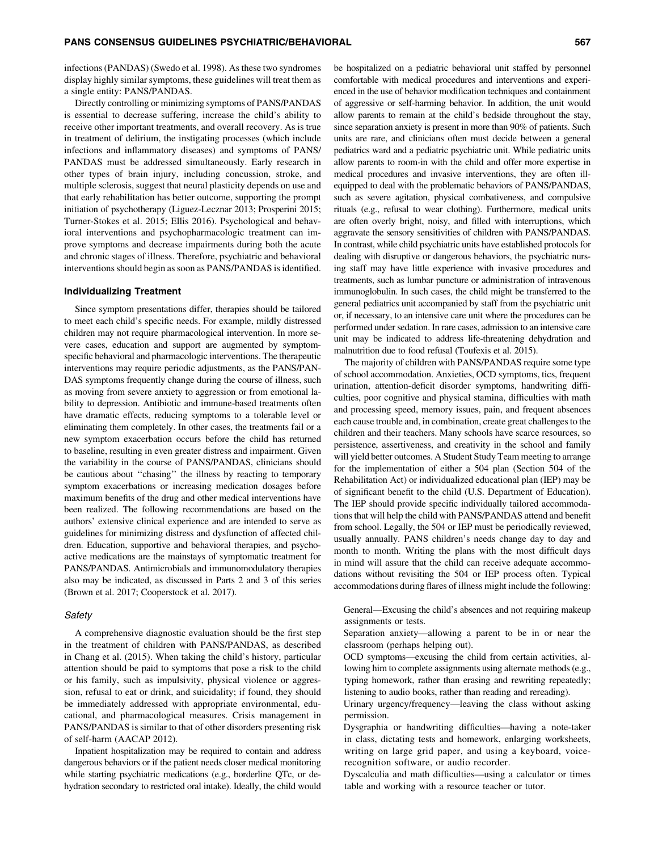infections (PANDAS) (Swedo et al. 1998). As these two syndromes display highly similar symptoms, these guidelines will treat them as a single entity: PANS/PANDAS.

Directly controlling or minimizing symptoms of PANS/PANDAS is essential to decrease suffering, increase the child's ability to receive other important treatments, and overall recovery. As is true in treatment of delirium, the instigating processes (which include infections and inflammatory diseases) and symptoms of PANS/ PANDAS must be addressed simultaneously. Early research in other types of brain injury, including concussion, stroke, and multiple sclerosis, suggest that neural plasticity depends on use and that early rehabilitation has better outcome, supporting the prompt initiation of psychotherapy (Liguez-Lecznar 2013; Prosperini 2015; Turner-Stokes et al. 2015; Ellis 2016). Psychological and behavioral interventions and psychopharmacologic treatment can improve symptoms and decrease impairments during both the acute and chronic stages of illness. Therefore, psychiatric and behavioral interventions should begin as soon as PANS/PANDAS is identified.

#### Individualizing Treatment

Since symptom presentations differ, therapies should be tailored to meet each child's specific needs. For example, mildly distressed children may not require pharmacological intervention. In more severe cases, education and support are augmented by symptomspecific behavioral and pharmacologic interventions. The therapeutic interventions may require periodic adjustments, as the PANS/PAN-DAS symptoms frequently change during the course of illness, such as moving from severe anxiety to aggression or from emotional lability to depression. Antibiotic and immune-based treatments often have dramatic effects, reducing symptoms to a tolerable level or eliminating them completely. In other cases, the treatments fail or a new symptom exacerbation occurs before the child has returned to baseline, resulting in even greater distress and impairment. Given the variability in the course of PANS/PANDAS, clinicians should be cautious about ''chasing'' the illness by reacting to temporary symptom exacerbations or increasing medication dosages before maximum benefits of the drug and other medical interventions have been realized. The following recommendations are based on the authors' extensive clinical experience and are intended to serve as guidelines for minimizing distress and dysfunction of affected children. Education, supportive and behavioral therapies, and psychoactive medications are the mainstays of symptomatic treatment for PANS/PANDAS. Antimicrobials and immunomodulatory therapies also may be indicated, as discussed in Parts 2 and 3 of this series (Brown et al. 2017; Cooperstock et al. 2017).

## **Safety**

A comprehensive diagnostic evaluation should be the first step in the treatment of children with PANS/PANDAS, as described in Chang et al. (2015). When taking the child's history, particular attention should be paid to symptoms that pose a risk to the child or his family, such as impulsivity, physical violence or aggression, refusal to eat or drink, and suicidality; if found, they should be immediately addressed with appropriate environmental, educational, and pharmacological measures. Crisis management in PANS/PANDAS is similar to that of other disorders presenting risk of self-harm (AACAP 2012).

Inpatient hospitalization may be required to contain and address dangerous behaviors or if the patient needs closer medical monitoring while starting psychiatric medications (e.g., borderline QTc, or dehydration secondary to restricted oral intake). Ideally, the child would be hospitalized on a pediatric behavioral unit staffed by personnel comfortable with medical procedures and interventions and experienced in the use of behavior modification techniques and containment of aggressive or self-harming behavior. In addition, the unit would allow parents to remain at the child's bedside throughout the stay, since separation anxiety is present in more than 90% of patients. Such units are rare, and clinicians often must decide between a general pediatrics ward and a pediatric psychiatric unit. While pediatric units allow parents to room-in with the child and offer more expertise in medical procedures and invasive interventions, they are often illequipped to deal with the problematic behaviors of PANS/PANDAS, such as severe agitation, physical combativeness, and compulsive rituals (e.g., refusal to wear clothing). Furthermore, medical units are often overly bright, noisy, and filled with interruptions, which aggravate the sensory sensitivities of children with PANS/PANDAS. In contrast, while child psychiatric units have established protocols for dealing with disruptive or dangerous behaviors, the psychiatric nursing staff may have little experience with invasive procedures and treatments, such as lumbar puncture or administration of intravenous immunoglobulin. In such cases, the child might be transferred to the general pediatrics unit accompanied by staff from the psychiatric unit or, if necessary, to an intensive care unit where the procedures can be performed under sedation. In rare cases, admission to an intensive care unit may be indicated to address life-threatening dehydration and malnutrition due to food refusal (Toufexis et al. 2015).

The majority of children with PANS/PANDAS require some type of school accommodation. Anxieties, OCD symptoms, tics, frequent urination, attention-deficit disorder symptoms, handwriting difficulties, poor cognitive and physical stamina, difficulties with math and processing speed, memory issues, pain, and frequent absences each cause trouble and, in combination, create great challenges to the children and their teachers. Many schools have scarce resources, so persistence, assertiveness, and creativity in the school and family will yield better outcomes. A Student Study Team meeting to arrange for the implementation of either a 504 plan (Section 504 of the Rehabilitation Act) or individualized educational plan (IEP) may be of significant benefit to the child (U.S. Department of Education). The IEP should provide specific individually tailored accommodations that will help the child with PANS/PANDAS attend and benefit from school. Legally, the 504 or IEP must be periodically reviewed, usually annually. PANS children's needs change day to day and month to month. Writing the plans with the most difficult days in mind will assure that the child can receive adequate accommodations without revisiting the 504 or IEP process often. Typical accommodations during flares of illness might include the following:

General—Excusing the child's absences and not requiring makeup assignments or tests.

Separation anxiety—allowing a parent to be in or near the classroom (perhaps helping out).

OCD symptoms—excusing the child from certain activities, allowing him to complete assignments using alternate methods (e.g., typing homework, rather than erasing and rewriting repeatedly; listening to audio books, rather than reading and rereading).

Urinary urgency/frequency—leaving the class without asking permission.

Dysgraphia or handwriting difficulties—having a note-taker in class, dictating tests and homework, enlarging worksheets, writing on large grid paper, and using a keyboard, voicerecognition software, or audio recorder.

Dyscalculia and math difficulties—using a calculator or times table and working with a resource teacher or tutor.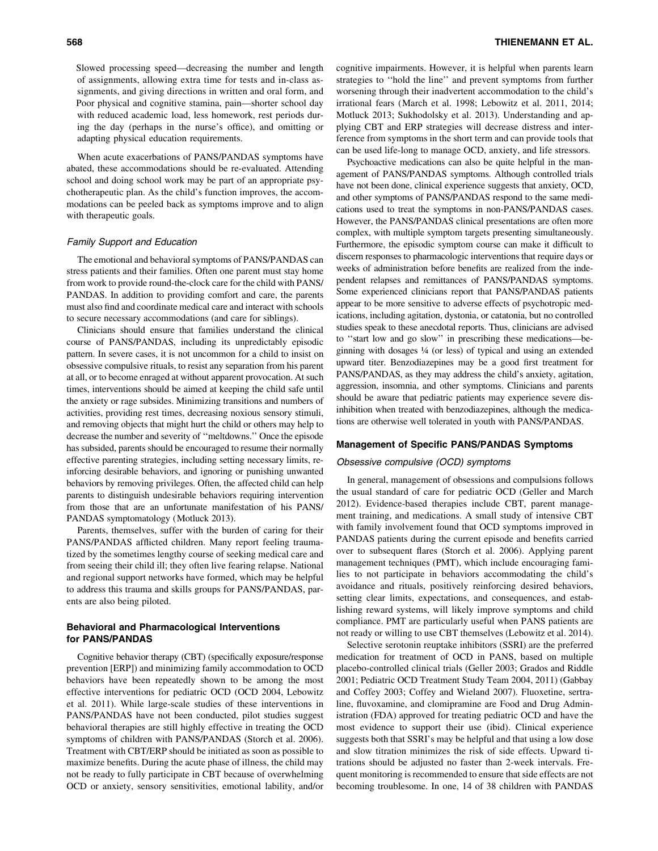Slowed processing speed—decreasing the number and length of assignments, allowing extra time for tests and in-class assignments, and giving directions in written and oral form, and Poor physical and cognitive stamina, pain—shorter school day with reduced academic load, less homework, rest periods during the day (perhaps in the nurse's office), and omitting or adapting physical education requirements.

When acute exacerbations of PANS/PANDAS symptoms have abated, these accommodations should be re-evaluated. Attending school and doing school work may be part of an appropriate psychotherapeutic plan. As the child's function improves, the accommodations can be peeled back as symptoms improve and to align with therapeutic goals.

# Family Support and Education

The emotional and behavioral symptoms of PANS/PANDAS can stress patients and their families. Often one parent must stay home from work to provide round-the-clock care for the child with PANS/ PANDAS. In addition to providing comfort and care, the parents must also find and coordinate medical care and interact with schools to secure necessary accommodations (and care for siblings).

Clinicians should ensure that families understand the clinical course of PANS/PANDAS, including its unpredictably episodic pattern. In severe cases, it is not uncommon for a child to insist on obsessive compulsive rituals, to resist any separation from his parent at all, or to become enraged at without apparent provocation. At such times, interventions should be aimed at keeping the child safe until the anxiety or rage subsides. Minimizing transitions and numbers of activities, providing rest times, decreasing noxious sensory stimuli, and removing objects that might hurt the child or others may help to decrease the number and severity of ''meltdowns.'' Once the episode has subsided, parents should be encouraged to resume their normally effective parenting strategies, including setting necessary limits, reinforcing desirable behaviors, and ignoring or punishing unwanted behaviors by removing privileges. Often, the affected child can help parents to distinguish undesirable behaviors requiring intervention from those that are an unfortunate manifestation of his PANS/ PANDAS symptomatology (Motluck 2013).

Parents, themselves, suffer with the burden of caring for their PANS/PANDAS afflicted children. Many report feeling traumatized by the sometimes lengthy course of seeking medical care and from seeing their child ill; they often live fearing relapse. National and regional support networks have formed, which may be helpful to address this trauma and skills groups for PANS/PANDAS, parents are also being piloted.

# Behavioral and Pharmacological Interventions for PANS/PANDAS

Cognitive behavior therapy (CBT) (specifically exposure/response prevention [ERP]) and minimizing family accommodation to OCD behaviors have been repeatedly shown to be among the most effective interventions for pediatric OCD (OCD 2004, Lebowitz et al. 2011). While large-scale studies of these interventions in PANS/PANDAS have not been conducted, pilot studies suggest behavioral therapies are still highly effective in treating the OCD symptoms of children with PANS/PANDAS (Storch et al. 2006). Treatment with CBT/ERP should be initiated as soon as possible to maximize benefits. During the acute phase of illness, the child may not be ready to fully participate in CBT because of overwhelming OCD or anxiety, sensory sensitivities, emotional lability, and/or cognitive impairments. However, it is helpful when parents learn strategies to ''hold the line'' and prevent symptoms from further worsening through their inadvertent accommodation to the child's irrational fears (March et al. 1998; Lebowitz et al. 2011, 2014; Motluck 2013; Sukhodolsky et al. 2013). Understanding and applying CBT and ERP strategies will decrease distress and interference from symptoms in the short term and can provide tools that can be used life-long to manage OCD, anxiety, and life stressors.

Psychoactive medications can also be quite helpful in the management of PANS/PANDAS symptoms. Although controlled trials have not been done, clinical experience suggests that anxiety, OCD, and other symptoms of PANS/PANDAS respond to the same medications used to treat the symptoms in non-PANS/PANDAS cases. However, the PANS/PANDAS clinical presentations are often more complex, with multiple symptom targets presenting simultaneously. Furthermore, the episodic symptom course can make it difficult to discern responses to pharmacologic interventions that require days or weeks of administration before benefits are realized from the independent relapses and remittances of PANS/PANDAS symptoms. Some experienced clinicians report that PANS/PANDAS patients appear to be more sensitive to adverse effects of psychotropic medications, including agitation, dystonia, or catatonia, but no controlled studies speak to these anecdotal reports. Thus, clinicians are advised to ''start low and go slow'' in prescribing these medications—beginning with dosages ¼ (or less) of typical and using an extended upward titer. Benzodiazepines may be a good first treatment for PANS/PANDAS, as they may address the child's anxiety, agitation, aggression, insomnia, and other symptoms. Clinicians and parents should be aware that pediatric patients may experience severe disinhibition when treated with benzodiazepines, although the medications are otherwise well tolerated in youth with PANS/PANDAS.

#### Management of Specific PANS/PANDAS Symptoms

## Obsessive compulsive (OCD) symptoms

In general, management of obsessions and compulsions follows the usual standard of care for pediatric OCD (Geller and March 2012). Evidence-based therapies include CBT, parent management training, and medications. A small study of intensive CBT with family involvement found that OCD symptoms improved in PANDAS patients during the current episode and benefits carried over to subsequent flares (Storch et al. 2006). Applying parent management techniques (PMT), which include encouraging families to not participate in behaviors accommodating the child's avoidance and rituals, positively reinforcing desired behaviors, setting clear limits, expectations, and consequences, and establishing reward systems, will likely improve symptoms and child compliance. PMT are particularly useful when PANS patients are not ready or willing to use CBT themselves (Lebowitz et al. 2014).

Selective serotonin reuptake inhibitors (SSRI) are the preferred medication for treatment of OCD in PANS, based on multiple placebo-controlled clinical trials (Geller 2003; Grados and Riddle 2001; Pediatric OCD Treatment Study Team 2004, 2011) (Gabbay and Coffey 2003; Coffey and Wieland 2007). Fluoxetine, sertraline, fluvoxamine, and clomipramine are Food and Drug Administration (FDA) approved for treating pediatric OCD and have the most evidence to support their use (ibid). Clinical experience suggests both that SSRI's may be helpful and that using a low dose and slow titration minimizes the risk of side effects. Upward titrations should be adjusted no faster than 2-week intervals. Frequent monitoring is recommended to ensure that side effects are not becoming troublesome. In one, 14 of 38 children with PANDAS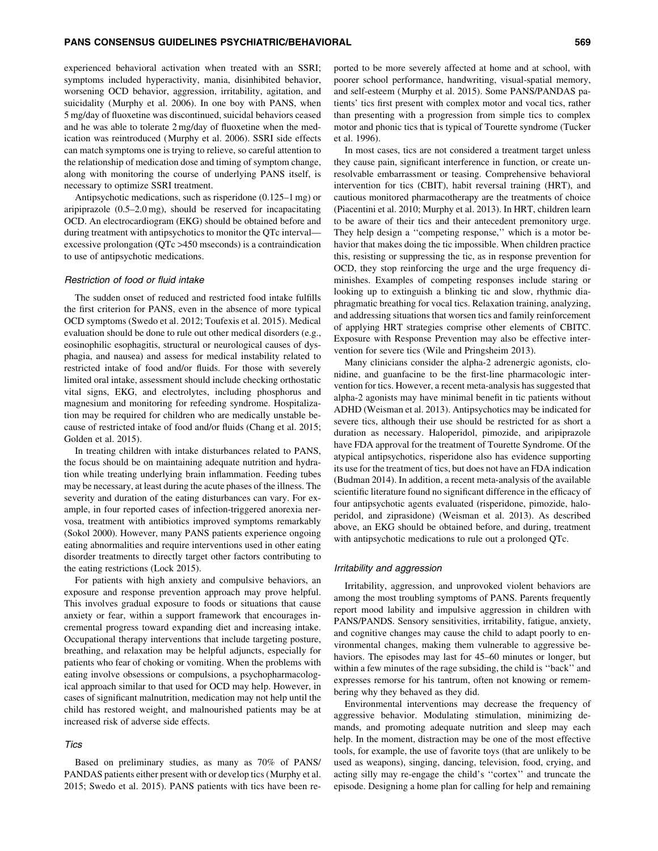# PANS CONSENSUS GUIDELINES PSYCHIATRIC/BEHAVIORAL 569

experienced behavioral activation when treated with an SSRI; symptoms included hyperactivity, mania, disinhibited behavior, worsening OCD behavior, aggression, irritability, agitation, and suicidality (Murphy et al. 2006). In one boy with PANS, when 5 mg/day of fluoxetine was discontinued, suicidal behaviors ceased and he was able to tolerate 2 mg/day of fluoxetine when the medication was reintroduced (Murphy et al. 2006). SSRI side effects can match symptoms one is trying to relieve, so careful attention to the relationship of medication dose and timing of symptom change, along with monitoring the course of underlying PANS itself, is necessary to optimize SSRI treatment.

Antipsychotic medications, such as risperidone (0.125–1 mg) or aripiprazole (0.5–2.0 mg), should be reserved for incapacitating OCD. An electrocardiogram (EKG) should be obtained before and during treatment with antipsychotics to monitor the QTc interval excessive prolongation (QTc >450 mseconds) is a contraindication to use of antipsychotic medications.

#### Restriction of food or fluid intake

The sudden onset of reduced and restricted food intake fulfills the first criterion for PANS, even in the absence of more typical OCD symptoms (Swedo et al. 2012; Toufexis et al. 2015). Medical evaluation should be done to rule out other medical disorders (e.g., eosinophilic esophagitis, structural or neurological causes of dysphagia, and nausea) and assess for medical instability related to restricted intake of food and/or fluids. For those with severely limited oral intake, assessment should include checking orthostatic vital signs, EKG, and electrolytes, including phosphorus and magnesium and monitoring for refeeding syndrome. Hospitalization may be required for children who are medically unstable because of restricted intake of food and/or fluids (Chang et al. 2015; Golden et al. 2015).

In treating children with intake disturbances related to PANS, the focus should be on maintaining adequate nutrition and hydration while treating underlying brain inflammation. Feeding tubes may be necessary, at least during the acute phases of the illness. The severity and duration of the eating disturbances can vary. For example, in four reported cases of infection-triggered anorexia nervosa, treatment with antibiotics improved symptoms remarkably (Sokol 2000). However, many PANS patients experience ongoing eating abnormalities and require interventions used in other eating disorder treatments to directly target other factors contributing to the eating restrictions (Lock 2015).

For patients with high anxiety and compulsive behaviors, an exposure and response prevention approach may prove helpful. This involves gradual exposure to foods or situations that cause anxiety or fear, within a support framework that encourages incremental progress toward expanding diet and increasing intake. Occupational therapy interventions that include targeting posture, breathing, and relaxation may be helpful adjuncts, especially for patients who fear of choking or vomiting. When the problems with eating involve obsessions or compulsions, a psychopharmacological approach similar to that used for OCD may help. However, in cases of significant malnutrition, medication may not help until the child has restored weight, and malnourished patients may be at increased risk of adverse side effects.

## Tics

Based on preliminary studies, as many as 70% of PANS/ PANDAS patients either present with or develop tics (Murphy et al. 2015; Swedo et al. 2015). PANS patients with tics have been reported to be more severely affected at home and at school, with poorer school performance, handwriting, visual-spatial memory, and self-esteem (Murphy et al. 2015). Some PANS/PANDAS patients' tics first present with complex motor and vocal tics, rather than presenting with a progression from simple tics to complex motor and phonic tics that is typical of Tourette syndrome (Tucker et al. 1996).

In most cases, tics are not considered a treatment target unless they cause pain, significant interference in function, or create unresolvable embarrassment or teasing. Comprehensive behavioral intervention for tics (CBIT), habit reversal training (HRT), and cautious monitored pharmacotherapy are the treatments of choice (Piacentini et al. 2010; Murphy et al. 2013). In HRT, children learn to be aware of their tics and their antecedent premonitory urge. They help design a "competing response," which is a motor behavior that makes doing the tic impossible. When children practice this, resisting or suppressing the tic, as in response prevention for OCD, they stop reinforcing the urge and the urge frequency diminishes. Examples of competing responses include staring or looking up to extinguish a blinking tic and slow, rhythmic diaphragmatic breathing for vocal tics. Relaxation training, analyzing, and addressing situations that worsen tics and family reinforcement of applying HRT strategies comprise other elements of CBITC. Exposure with Response Prevention may also be effective intervention for severe tics (Wile and Pringsheim 2013).

Many clinicians consider the alpha-2 adrenergic agonists, clonidine, and guanfacine to be the first-line pharmacologic intervention for tics. However, a recent meta-analysis has suggested that alpha-2 agonists may have minimal benefit in tic patients without ADHD (Weisman et al. 2013). Antipsychotics may be indicated for severe tics, although their use should be restricted for as short a duration as necessary. Haloperidol, pimozide, and aripiprazole have FDA approval for the treatment of Tourette Syndrome. Of the atypical antipsychotics, risperidone also has evidence supporting its use for the treatment of tics, but does not have an FDA indication (Budman 2014). In addition, a recent meta-analysis of the available scientific literature found no significant difference in the efficacy of four antipsychotic agents evaluated (risperidone, pimozide, haloperidol, and ziprasidone) (Weisman et al. 2013). As described above, an EKG should be obtained before, and during, treatment with antipsychotic medications to rule out a prolonged QTc.

#### Irritability and aggression

Irritability, aggression, and unprovoked violent behaviors are among the most troubling symptoms of PANS. Parents frequently report mood lability and impulsive aggression in children with PANS/PANDS. Sensory sensitivities, irritability, fatigue, anxiety, and cognitive changes may cause the child to adapt poorly to environmental changes, making them vulnerable to aggressive behaviors. The episodes may last for 45–60 minutes or longer, but within a few minutes of the rage subsiding, the child is ''back'' and expresses remorse for his tantrum, often not knowing or remembering why they behaved as they did.

Environmental interventions may decrease the frequency of aggressive behavior. Modulating stimulation, minimizing demands, and promoting adequate nutrition and sleep may each help. In the moment, distraction may be one of the most effective tools, for example, the use of favorite toys (that are unlikely to be used as weapons), singing, dancing, television, food, crying, and acting silly may re-engage the child's ''cortex'' and truncate the episode. Designing a home plan for calling for help and remaining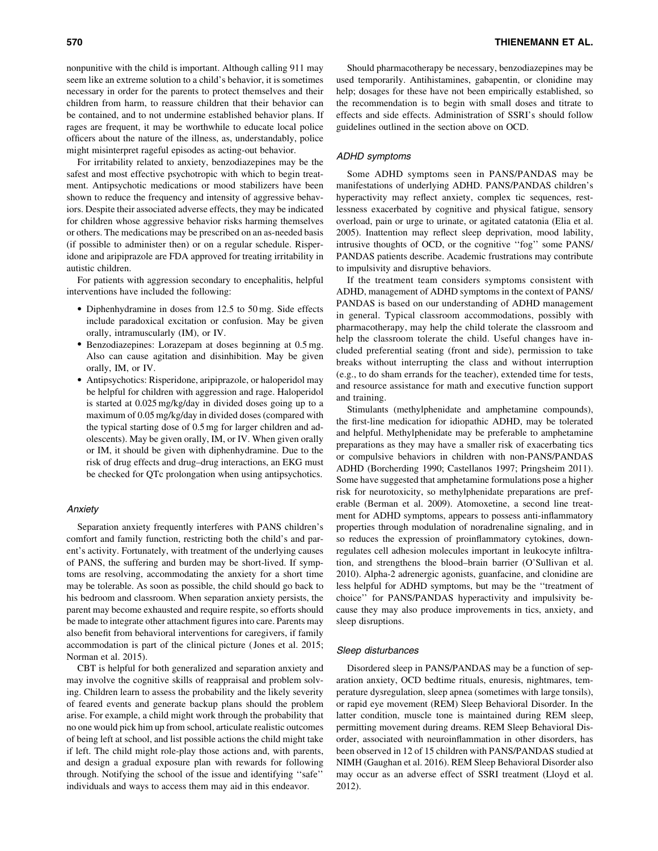nonpunitive with the child is important. Although calling 911 may seem like an extreme solution to a child's behavior, it is sometimes necessary in order for the parents to protect themselves and their children from harm, to reassure children that their behavior can be contained, and to not undermine established behavior plans. If rages are frequent, it may be worthwhile to educate local police officers about the nature of the illness, as, understandably, police might misinterpret rageful episodes as acting-out behavior.

For irritability related to anxiety, benzodiazepines may be the safest and most effective psychotropic with which to begin treatment. Antipsychotic medications or mood stabilizers have been shown to reduce the frequency and intensity of aggressive behaviors. Despite their associated adverse effects, they may be indicated for children whose aggressive behavior risks harming themselves or others. The medications may be prescribed on an as-needed basis (if possible to administer then) or on a regular schedule. Risperidone and aripiprazole are FDA approved for treating irritability in autistic children.

For patients with aggression secondary to encephalitis, helpful interventions have included the following:

- Diphenhydramine in doses from 12.5 to 50 mg. Side effects include paradoxical excitation or confusion. May be given orally, intramuscularly (IM), or IV.
- Benzodiazepines: Lorazepam at doses beginning at 0.5 mg. Also can cause agitation and disinhibition. May be given orally, IM, or IV.
- Antipsychotics: Risperidone, aripiprazole, or haloperidol may be helpful for children with aggression and rage. Haloperidol is started at 0.025 mg/kg/day in divided doses going up to a maximum of 0.05 mg/kg/day in divided doses (compared with the typical starting dose of 0.5 mg for larger children and adolescents). May be given orally, IM, or IV. When given orally or IM, it should be given with diphenhydramine. Due to the risk of drug effects and drug–drug interactions, an EKG must be checked for QTc prolongation when using antipsychotics.

#### Anxiety

Separation anxiety frequently interferes with PANS children's comfort and family function, restricting both the child's and parent's activity. Fortunately, with treatment of the underlying causes of PANS, the suffering and burden may be short-lived. If symptoms are resolving, accommodating the anxiety for a short time may be tolerable. As soon as possible, the child should go back to his bedroom and classroom. When separation anxiety persists, the parent may become exhausted and require respite, so efforts should be made to integrate other attachment figures into care. Parents may also benefit from behavioral interventions for caregivers, if family accommodation is part of the clinical picture ( Jones et al. 2015; Norman et al. 2015).

CBT is helpful for both generalized and separation anxiety and may involve the cognitive skills of reappraisal and problem solving. Children learn to assess the probability and the likely severity of feared events and generate backup plans should the problem arise. For example, a child might work through the probability that no one would pick him up from school, articulate realistic outcomes of being left at school, and list possible actions the child might take if left. The child might role-play those actions and, with parents, and design a gradual exposure plan with rewards for following through. Notifying the school of the issue and identifying ''safe'' individuals and ways to access them may aid in this endeavor.

Should pharmacotherapy be necessary, benzodiazepines may be used temporarily. Antihistamines, gabapentin, or clonidine may help; dosages for these have not been empirically established, so the recommendation is to begin with small doses and titrate to effects and side effects. Administration of SSRI's should follow guidelines outlined in the section above on OCD.

#### ADHD symptoms

Some ADHD symptoms seen in PANS/PANDAS may be manifestations of underlying ADHD. PANS/PANDAS children's hyperactivity may reflect anxiety, complex tic sequences, restlessness exacerbated by cognitive and physical fatigue, sensory overload, pain or urge to urinate, or agitated catatonia (Elia et al. 2005). Inattention may reflect sleep deprivation, mood lability, intrusive thoughts of OCD, or the cognitive ''fog'' some PANS/ PANDAS patients describe. Academic frustrations may contribute to impulsivity and disruptive behaviors.

If the treatment team considers symptoms consistent with ADHD, management of ADHD symptoms in the context of PANS/ PANDAS is based on our understanding of ADHD management in general. Typical classroom accommodations, possibly with pharmacotherapy, may help the child tolerate the classroom and help the classroom tolerate the child. Useful changes have included preferential seating (front and side), permission to take breaks without interrupting the class and without interruption (e.g., to do sham errands for the teacher), extended time for tests, and resource assistance for math and executive function support and training.

Stimulants (methylphenidate and amphetamine compounds), the first-line medication for idiopathic ADHD, may be tolerated and helpful. Methylphenidate may be preferable to amphetamine preparations as they may have a smaller risk of exacerbating tics or compulsive behaviors in children with non-PANS/PANDAS ADHD (Borcherding 1990; Castellanos 1997; Pringsheim 2011). Some have suggested that amphetamine formulations pose a higher risk for neurotoxicity, so methylphenidate preparations are preferable (Berman et al. 2009). Atomoxetine, a second line treatment for ADHD symptoms, appears to possess anti-inflammatory properties through modulation of noradrenaline signaling, and in so reduces the expression of proinflammatory cytokines, downregulates cell adhesion molecules important in leukocyte infiltration, and strengthens the blood–brain barrier (O'Sullivan et al. 2010). Alpha-2 adrenergic agonists, guanfacine, and clonidine are less helpful for ADHD symptoms, but may be the ''treatment of choice'' for PANS/PANDAS hyperactivity and impulsivity because they may also produce improvements in tics, anxiety, and sleep disruptions.

#### Sleep disturbances

Disordered sleep in PANS/PANDAS may be a function of separation anxiety, OCD bedtime rituals, enuresis, nightmares, temperature dysregulation, sleep apnea (sometimes with large tonsils), or rapid eye movement (REM) Sleep Behavioral Disorder. In the latter condition, muscle tone is maintained during REM sleep, permitting movement during dreams. REM Sleep Behavioral Disorder, associated with neuroinflammation in other disorders, has been observed in 12 of 15 children with PANS/PANDAS studied at NIMH (Gaughan et al. 2016). REM Sleep Behavioral Disorder also may occur as an adverse effect of SSRI treatment (Lloyd et al. 2012).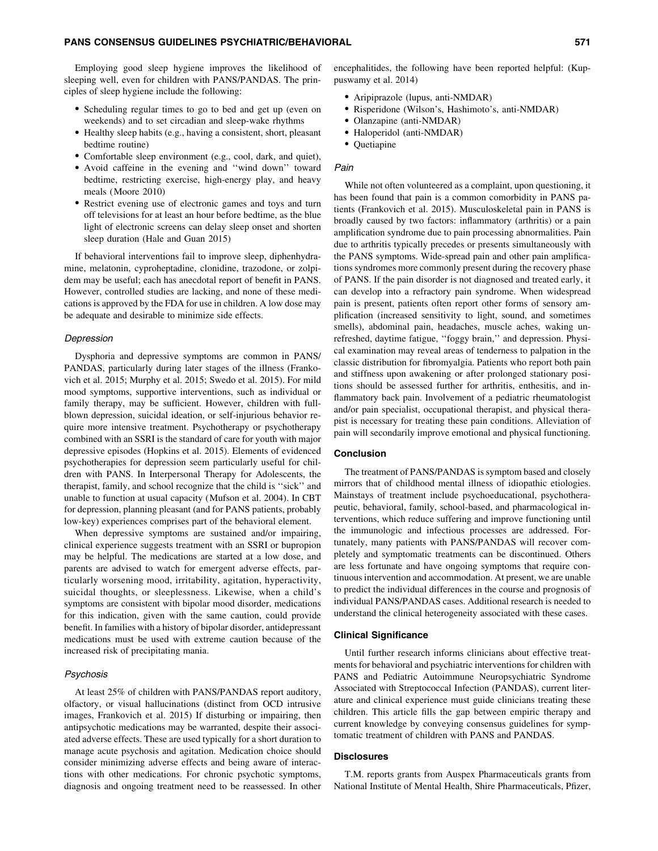Employing good sleep hygiene improves the likelihood of sleeping well, even for children with PANS/PANDAS. The principles of sleep hygiene include the following:

- Scheduling regular times to go to bed and get up (even on weekends) and to set circadian and sleep-wake rhythms
- Healthy sleep habits (e.g., having a consistent, short, pleasant bedtime routine)
- Comfortable sleep environment (e.g., cool, dark, and quiet),
- Avoid caffeine in the evening and ''wind down'' toward bedtime, restricting exercise, high-energy play, and heavy meals (Moore 2010)
- Restrict evening use of electronic games and toys and turn off televisions for at least an hour before bedtime, as the blue light of electronic screens can delay sleep onset and shorten sleep duration (Hale and Guan 2015)

If behavioral interventions fail to improve sleep, diphenhydramine, melatonin, cyproheptadine, clonidine, trazodone, or zolpidem may be useful; each has anecdotal report of benefit in PANS. However, controlled studies are lacking, and none of these medications is approved by the FDA for use in children. A low dose may be adequate and desirable to minimize side effects.

#### Depression

Dysphoria and depressive symptoms are common in PANS/ PANDAS, particularly during later stages of the illness (Frankovich et al. 2015; Murphy et al. 2015; Swedo et al. 2015). For mild mood symptoms, supportive interventions, such as individual or family therapy, may be sufficient. However, children with fullblown depression, suicidal ideation, or self-injurious behavior require more intensive treatment. Psychotherapy or psychotherapy combined with an SSRI is the standard of care for youth with major depressive episodes (Hopkins et al. 2015). Elements of evidenced psychotherapies for depression seem particularly useful for children with PANS. In Interpersonal Therapy for Adolescents, the therapist, family, and school recognize that the child is ''sick'' and unable to function at usual capacity (Mufson et al. 2004). In CBT for depression, planning pleasant (and for PANS patients, probably low-key) experiences comprises part of the behavioral element.

When depressive symptoms are sustained and/or impairing, clinical experience suggests treatment with an SSRI or bupropion may be helpful. The medications are started at a low dose, and parents are advised to watch for emergent adverse effects, particularly worsening mood, irritability, agitation, hyperactivity, suicidal thoughts, or sleeplessness. Likewise, when a child's symptoms are consistent with bipolar mood disorder, medications for this indication, given with the same caution, could provide benefit. In families with a history of bipolar disorder, antidepressant medications must be used with extreme caution because of the increased risk of precipitating mania.

#### Psychosis

At least 25% of children with PANS/PANDAS report auditory, olfactory, or visual hallucinations (distinct from OCD intrusive images, Frankovich et al. 2015) If disturbing or impairing, then antipsychotic medications may be warranted, despite their associated adverse effects. These are used typically for a short duration to manage acute psychosis and agitation. Medication choice should consider minimizing adverse effects and being aware of interactions with other medications. For chronic psychotic symptoms, diagnosis and ongoing treatment need to be reassessed. In other encephalitides, the following have been reported helpful: (Kuppuswamy et al. 2014)

- Aripiprazole (lupus, anti-NMDAR)
- Risperidone (Wilson's, Hashimoto's, anti-NMDAR)
- Olanzapine (anti-NMDAR)
- Haloperidol (anti-NMDAR)
- Quetiapine

#### Pain

While not often volunteered as a complaint, upon questioning, it has been found that pain is a common comorbidity in PANS patients (Frankovich et al. 2015). Musculoskeletal pain in PANS is broadly caused by two factors: inflammatory (arthritis) or a pain amplification syndrome due to pain processing abnormalities. Pain due to arthritis typically precedes or presents simultaneously with the PANS symptoms. Wide-spread pain and other pain amplifications syndromes more commonly present during the recovery phase of PANS. If the pain disorder is not diagnosed and treated early, it can develop into a refractory pain syndrome. When widespread pain is present, patients often report other forms of sensory amplification (increased sensitivity to light, sound, and sometimes smells), abdominal pain, headaches, muscle aches, waking unrefreshed, daytime fatigue, ''foggy brain,'' and depression. Physical examination may reveal areas of tenderness to palpation in the classic distribution for fibromyalgia. Patients who report both pain and stiffness upon awakening or after prolonged stationary positions should be assessed further for arthritis, enthesitis, and inflammatory back pain. Involvement of a pediatric rheumatologist and/or pain specialist, occupational therapist, and physical therapist is necessary for treating these pain conditions. Alleviation of pain will secondarily improve emotional and physical functioning.

# Conclusion

The treatment of PANS/PANDAS is symptom based and closely mirrors that of childhood mental illness of idiopathic etiologies. Mainstays of treatment include psychoeducational, psychotherapeutic, behavioral, family, school-based, and pharmacological interventions, which reduce suffering and improve functioning until the immunologic and infectious processes are addressed. Fortunately, many patients with PANS/PANDAS will recover completely and symptomatic treatments can be discontinued. Others are less fortunate and have ongoing symptoms that require continuous intervention and accommodation. At present, we are unable to predict the individual differences in the course and prognosis of individual PANS/PANDAS cases. Additional research is needed to understand the clinical heterogeneity associated with these cases.

## Clinical Significance

Until further research informs clinicians about effective treatments for behavioral and psychiatric interventions for children with PANS and Pediatric Autoimmune Neuropsychiatric Syndrome Associated with Streptococcal Infection (PANDAS), current literature and clinical experience must guide clinicians treating these children. This article fills the gap between empiric therapy and current knowledge by conveying consensus guidelines for symptomatic treatment of children with PANS and PANDAS.

# **Disclosures**

T.M. reports grants from Auspex Pharmaceuticals grants from National Institute of Mental Health, Shire Pharmaceuticals, Pfizer,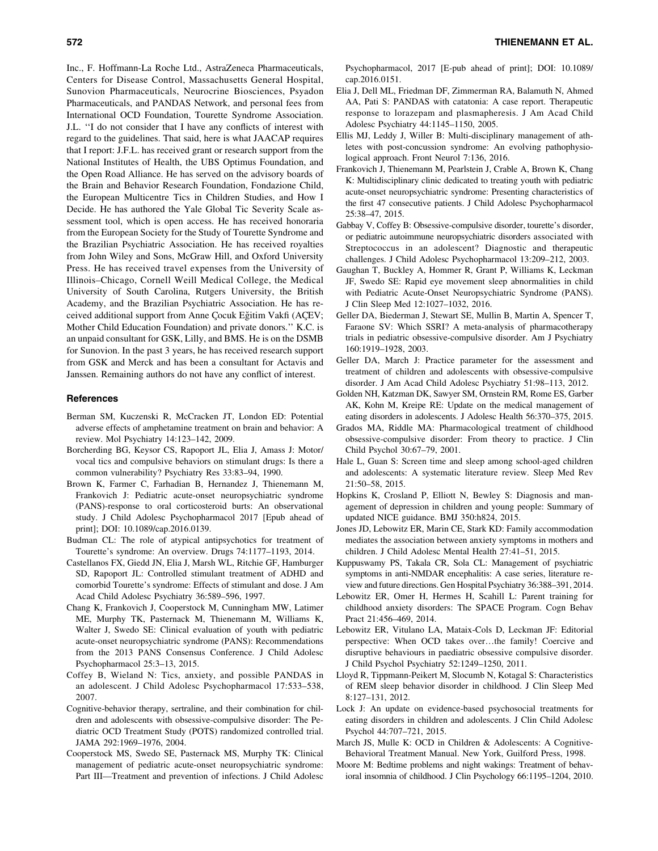Inc., F. Hoffmann-La Roche Ltd., AstraZeneca Pharmaceuticals, Centers for Disease Control, Massachusetts General Hospital, Sunovion Pharmaceuticals, Neurocrine Biosciences, Psyadon Pharmaceuticals, and PANDAS Network, and personal fees from International OCD Foundation, Tourette Syndrome Association. J.L. ''I do not consider that I have any conflicts of interest with regard to the guidelines. That said, here is what JAACAP requires that I report: J.F.L. has received grant or research support from the National Institutes of Health, the UBS Optimus Foundation, and the Open Road Alliance. He has served on the advisory boards of the Brain and Behavior Research Foundation, Fondazione Child, the European Multicentre Tics in Children Studies, and How I Decide. He has authored the Yale Global Tic Severity Scale assessment tool, which is open access. He has received honoraria from the European Society for the Study of Tourette Syndrome and the Brazilian Psychiatric Association. He has received royalties from John Wiley and Sons, McGraw Hill, and Oxford University Press. He has received travel expenses from the University of Illinois–Chicago, Cornell Weill Medical College, the Medical University of South Carolina, Rutgers University, the British Academy, and the Brazilian Psychiatric Association. He has received additional support from Anne Cocuk Eğitim Vakfi (ACEV; Mother Child Education Foundation) and private donors.'' K.C. is an unpaid consultant for GSK, Lilly, and BMS. He is on the DSMB for Sunovion. In the past 3 years, he has received research support from GSK and Merck and has been a consultant for Actavis and Janssen. Remaining authors do not have any conflict of interest.

#### References

- Berman SM, Kuczenski R, McCracken JT, London ED: Potential adverse effects of amphetamine treatment on brain and behavior: A review. Mol Psychiatry 14:123–142, 2009.
- Borcherding BG, Keysor CS, Rapoport JL, Elia J, Amass J: Motor/ vocal tics and compulsive behaviors on stimulant drugs: Is there a common vulnerability? Psychiatry Res 33:83–94, 1990.
- Brown K, Farmer C, Farhadian B, Hernandez J, Thienemann M, Frankovich J: Pediatric acute-onset neuropsychiatric syndrome (PANS)-response to oral corticosteroid burts: An observational study. J Child Adolesc Psychopharmacol 2017 [Epub ahead of print]; DOI: 10.1089/cap.2016.0139.
- Budman CL: The role of atypical antipsychotics for treatment of Tourette's syndrome: An overview. Drugs 74:1177–1193, 2014.
- Castellanos FX, Giedd JN, Elia J, Marsh WL, Ritchie GF, Hamburger SD, Rapoport JL: Controlled stimulant treatment of ADHD and comorbid Tourette's syndrome: Effects of stimulant and dose. J Am Acad Child Adolesc Psychiatry 36:589–596, 1997.
- Chang K, Frankovich J, Cooperstock M, Cunningham MW, Latimer ME, Murphy TK, Pasternack M, Thienemann M, Williams K, Walter J, Swedo SE: Clinical evaluation of youth with pediatric acute-onset neuropsychiatric syndrome (PANS): Recommendations from the 2013 PANS Consensus Conference. J Child Adolesc Psychopharmacol 25:3–13, 2015.
- Coffey B, Wieland N: Tics, anxiety, and possible PANDAS in an adolescent. J Child Adolesc Psychopharmacol 17:533–538, 2007.
- Cognitive-behavior therapy, sertraline, and their combination for children and adolescents with obsessive-compulsive disorder: The Pediatric OCD Treatment Study (POTS) randomized controlled trial. JAMA 292:1969–1976, 2004.
- Cooperstock MS, Swedo SE, Pasternack MS, Murphy TK: Clinical management of pediatric acute-onset neuropsychiatric syndrome: Part III—Treatment and prevention of infections. J Child Adolesc

Psychopharmacol, 2017 [E-pub ahead of print]; DOI: 10.1089/ cap.2016.0151.

- Elia J, Dell ML, Friedman DF, Zimmerman RA, Balamuth N, Ahmed AA, Pati S: PANDAS with catatonia: A case report. Therapeutic response to lorazepam and plasmapheresis. J Am Acad Child Adolesc Psychiatry 44:1145–1150, 2005.
- Ellis MJ, Leddy J, Willer B: Multi-disciplinary management of athletes with post-concussion syndrome: An evolving pathophysiological approach. Front Neurol 7:136, 2016.
- Frankovich J, Thienemann M, Pearlstein J, Crable A, Brown K, Chang K: Multidisciplinary clinic dedicated to treating youth with pediatric acute-onset neuropsychiatric syndrome: Presenting characteristics of the first 47 consecutive patients. J Child Adolesc Psychopharmacol 25:38–47, 2015.
- Gabbay V, Coffey B: Obsessive-compulsive disorder, tourette's disorder, or pediatric autoimmune neuropsychiatric disorders associated with Streptococcus in an adolescent? Diagnostic and therapeutic challenges. J Child Adolesc Psychopharmacol 13:209–212, 2003.
- Gaughan T, Buckley A, Hommer R, Grant P, Williams K, Leckman JF, Swedo SE: Rapid eye movement sleep abnormalities in child with Pediatric Acute-Onset Neuropsychiatric Syndrome (PANS). J Clin Sleep Med 12:1027–1032, 2016.
- Geller DA, Biederman J, Stewart SE, Mullin B, Martin A, Spencer T, Faraone SV: Which SSRI? A meta-analysis of pharmacotherapy trials in pediatric obsessive-compulsive disorder. Am J Psychiatry 160:1919–1928, 2003.
- Geller DA, March J: Practice parameter for the assessment and treatment of children and adolescents with obsessive-compulsive disorder. J Am Acad Child Adolesc Psychiatry 51:98–113, 2012.
- Golden NH, Katzman DK, Sawyer SM, Ornstein RM, Rome ES, Garber AK, Kohn M, Kreipe RE: Update on the medical management of eating disorders in adolescents. J Adolesc Health 56:370–375, 2015.
- Grados MA, Riddle MA: Pharmacological treatment of childhood obsessive-compulsive disorder: From theory to practice. J Clin Child Psychol 30:67–79, 2001.
- Hale L, Guan S: Screen time and sleep among school-aged children and adolescents: A systematic literature review. Sleep Med Rev 21:50–58, 2015.
- Hopkins K, Crosland P, Elliott N, Bewley S: Diagnosis and management of depression in children and young people: Summary of updated NICE guidance. BMJ 350:h824, 2015.
- Jones JD, Lebowitz ER, Marin CE, Stark KD: Family accommodation mediates the association between anxiety symptoms in mothers and children. J Child Adolesc Mental Health 27:41–51, 2015.
- Kuppuswamy PS, Takala CR, Sola CL: Management of psychiatric symptoms in anti-NMDAR encephalitis: A case series, literature review and future directions. Gen Hospital Psychiatry 36:388–391, 2014.
- Lebowitz ER, Omer H, Hermes H, Scahill L: Parent training for childhood anxiety disorders: The SPACE Program. Cogn Behav Pract 21:456–469, 2014.
- Lebowitz ER, Vitulano LA, Mataix-Cols D, Leckman JF: Editorial perspective: When OCD takes over...the family! Coercive and disruptive behaviours in paediatric obsessive compulsive disorder. J Child Psychol Psychiatry 52:1249–1250, 2011.
- Lloyd R, Tippmann-Peikert M, Slocumb N, Kotagal S: Characteristics of REM sleep behavior disorder in childhood. J Clin Sleep Med 8:127–131, 2012.
- Lock J: An update on evidence-based psychosocial treatments for eating disorders in children and adolescents. J Clin Child Adolesc Psychol 44:707–721, 2015.
- March JS, Mulle K: OCD in Children & Adolescents: A Cognitive-Behavioral Treatment Manual. New York, Guilford Press, 1998.
- Moore M: Bedtime problems and night wakings: Treatment of behavioral insomnia of childhood. J Clin Psychology 66:1195–1204, 2010.